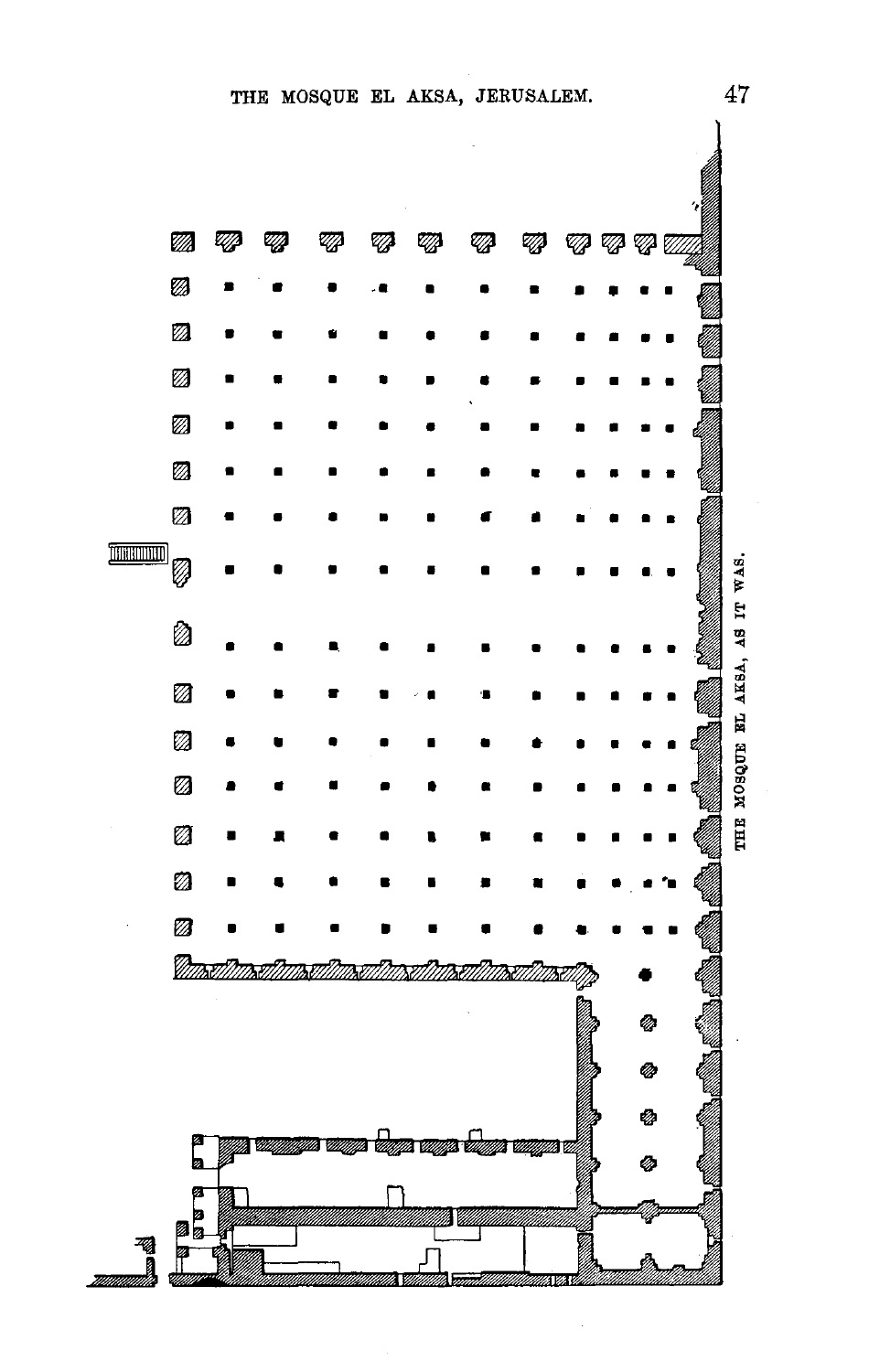THE MOSQUE EL AKSA, JERUSALEM.



47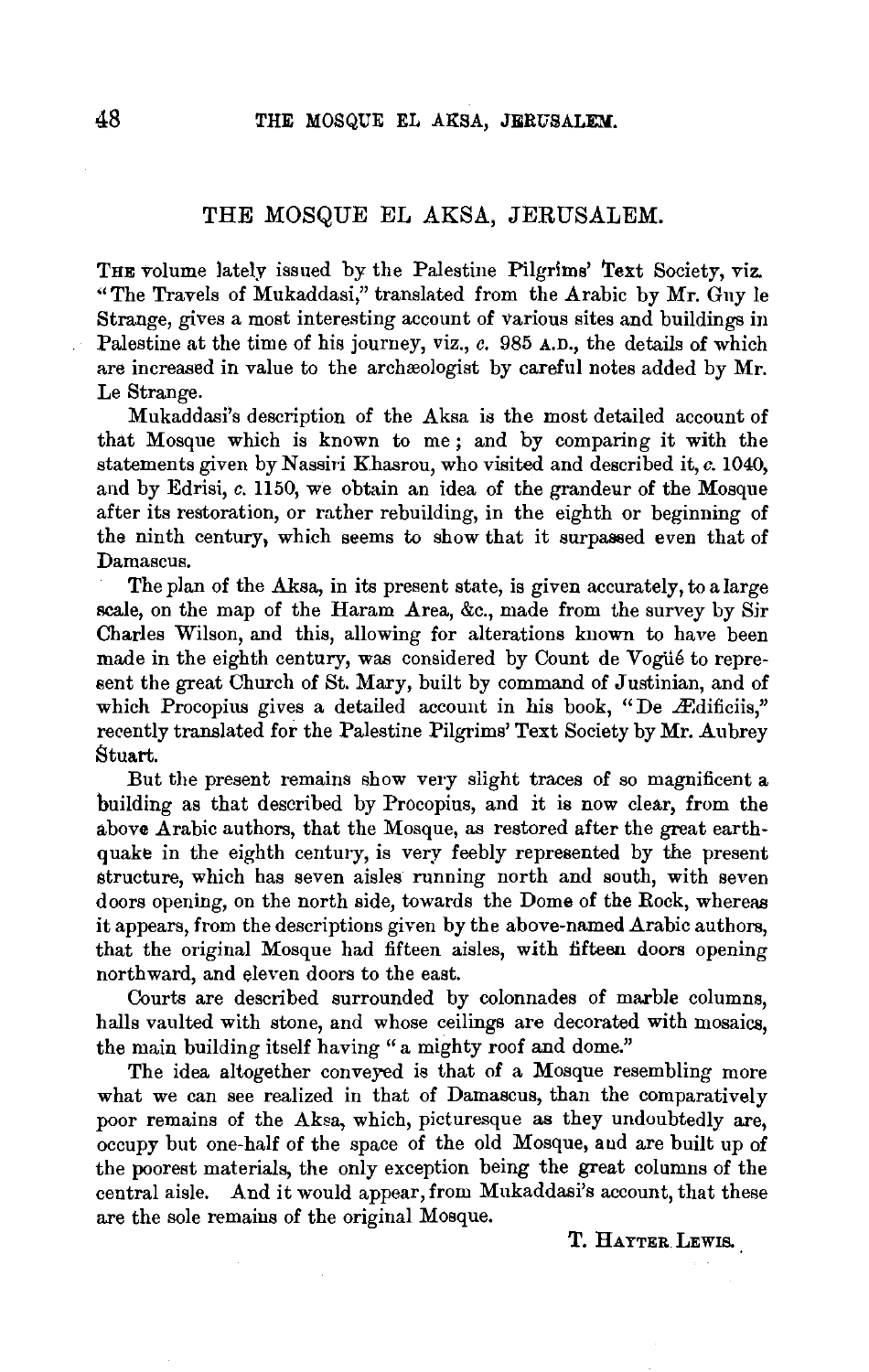## THE MOSQUE EL AKSA, JERUSALEM.

THE volume lately issued by the Palestine Pilgrims' Text Society, viz. "The Travels of Mukaddasi," translated from the Arabic by  $Mr$ . Guy le Strange, gives a most interesting account of various sites and buildings in Palestine at the time of his journey, viz., *c.* 985 A.D., the details of which are increased in value to the archeologist by careful notes added by Mr. Le Strange.

Mukaddasi's description of the Aksa is the most detailed account of that Mosque which is known to me ; and by comparing it with the statements given by Nassiri Khasrou, who visited and described it, *c.* 1040, and by Edrisi, *c.* 1150, we obtain an idea of the grandeur of the Mosque after its restoration, or rather rebuilding, in the eighth or beginning of the ninth century, which seems to show that it surpassed even that of Damascus.

The plan of the Aksa, in its present state, is given accurately, to a large scale, on the map of the Haram Area, &c., made from the survey by Sir Charles Wilson, and this, allowing for alterations known to have been made in the eighth century, was considered by Count de Vogüé to represent the great Church of St. Mary, built by command of Justinian, and of which Procopius gives a detailed account in his book, "De Adificiis." recently translated for the Palestine Pilgrims' Text Society by Mr. Aubrey Stuart.

But the present remains show very slight traces of so magnificent a building as that described by Procopius, and it is now clear, from the above Arabic authors, that the Mosque, as restored after the great earthquake in the eighth century, is very feebly represented by the present structure, which has seven aisles running north and south, with seven doors opening, on the north side, towards the Dome of the Rock, whereas it appears, from the descriptions given by the above-named Arabic authors, that the original Mosque had fifteen aisles, with fifteen doors opening northward, and eleven doors to the east.

Courts are described surrounded by colonnades of marble columns, halls vaulted with stone, and whose ceilings are decorated with mosaics, the main building itself having "a mighty roof and dome."

The idea altogether conveyed is that of a Mosque resembling more what we can see realized in that of Damascus, than the comparatively poor remains of the Aksa, which, picturesque as they undoubtedly are, occupy but one-half of the space of the old Mosque, and are built up of the poorest materials, the only exception being the great columns of the central aisle. And it would appear, from Mukaddasi's account, that these are the sole remains of the original Mosque.

T. HAYTER LEWIS.